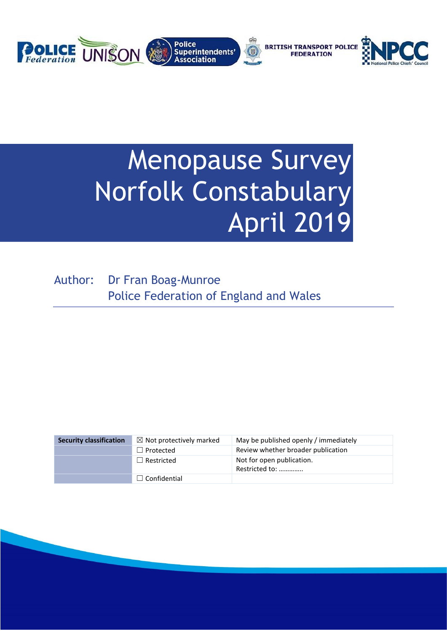

# Menopause Survey Norfolk Constabulary April 2019

Author: Dr Fran Boag-Munroe Police Federation of England and Wales

| <b>Security classification</b> | $\boxtimes$ Not protectively marked | May be published openly / immediately       |
|--------------------------------|-------------------------------------|---------------------------------------------|
|                                | $\Box$ Protected                    | Review whether broader publication          |
|                                | $\Box$ Restricted                   | Not for open publication.<br>Restricted to: |
|                                | $\Box$ Confidential                 |                                             |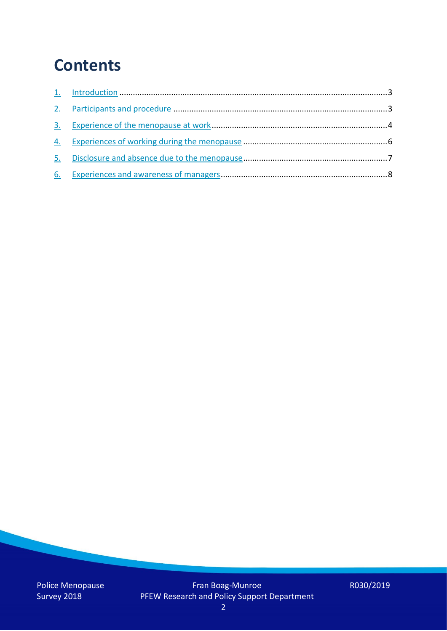## **Contents**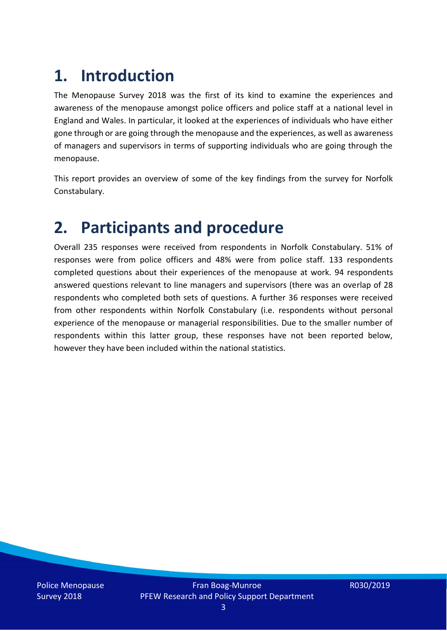# **1. Introduction**

The Menopause Survey 2018 was the first of its kind to examine the experiences and awareness of the menopause amongst police officers and police staff at a national level in England and Wales. In particular, it looked at the experiences of individuals who have either gone through or are going through the menopause and the experiences, as well as awareness of managers and supervisors in terms of supporting individuals who are going through the menopause.

This report provides an overview of some of the key findings from the survey for Norfolk Constabulary.

### **2. Participants and procedure**

Overall 235 responses were received from respondents in Norfolk Constabulary. 51% of responses were from police officers and 48% were from police staff. 133 respondents completed questions about their experiences of the menopause at work. 94 respondents answered questions relevant to line managers and supervisors (there was an overlap of 28 respondents who completed both sets of questions. A further 36 responses were received from other respondents within Norfolk Constabulary (i.e. respondents without personal experience of the menopause or managerial responsibilities. Due to the smaller number of respondents within this latter group, these responses have not been reported below, however they have been included within the national statistics.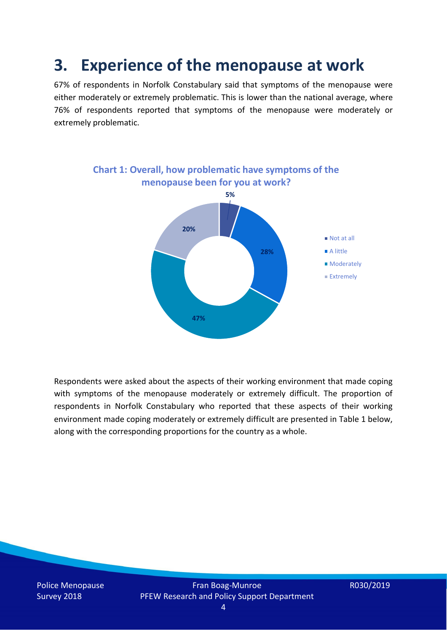### **3. Experience of the menopause at work**

67% of respondents in Norfolk Constabulary said that symptoms of the menopause were either moderately or extremely problematic. This is lower than the national average, where 76% of respondents reported that symptoms of the menopause were moderately or extremely problematic.



Respondents were asked about the aspects of their working environment that made coping with symptoms of the menopause moderately or extremely difficult. The proportion of respondents in Norfolk Constabulary who reported that these aspects of their working environment made coping moderately or extremely difficult are presented in Table 1 below, along with the corresponding proportions for the country as a whole.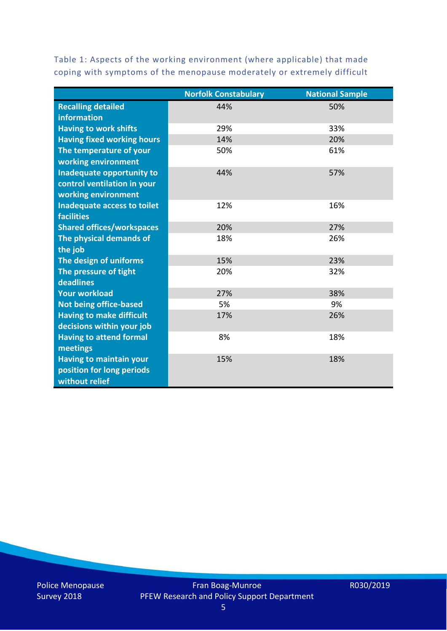Table 1: Aspects of the working environment (where applicable) that made coping with symptoms of the menopause moderately or extremely difficult

|                                   | <b>Norfolk Constabulary</b> | <b>National Sample</b> |
|-----------------------------------|-----------------------------|------------------------|
| <b>Recalling detailed</b>         | 44%                         | 50%                    |
| information                       |                             |                        |
| <b>Having to work shifts</b>      | 29%                         | 33%                    |
| <b>Having fixed working hours</b> | 14%                         | 20%                    |
| The temperature of your           | 50%                         | 61%                    |
| working environment               |                             |                        |
| Inadequate opportunity to         | 44%                         | 57%                    |
| control ventilation in your       |                             |                        |
| working environment               |                             |                        |
| Inadequate access to toilet       | 12%                         | 16%                    |
| <b>facilities</b>                 |                             |                        |
| <b>Shared offices/workspaces</b>  | 20%                         | 27%                    |
| The physical demands of           | 18%                         | 26%                    |
| the job                           |                             |                        |
| The design of uniforms            | 15%                         | 23%                    |
| The pressure of tight             | 20%                         | 32%                    |
| deadlines                         |                             |                        |
| <b>Your workload</b>              | 27%                         | 38%                    |
| <b>Not being office-based</b>     | 5%                          | 9%                     |
| <b>Having to make difficult</b>   | 17%                         | 26%                    |
| decisions within your job         |                             |                        |
| <b>Having to attend formal</b>    | 8%                          | 18%                    |
| meetings                          |                             |                        |
| <b>Having to maintain your</b>    | 15%                         | 18%                    |
| position for long periods         |                             |                        |
| without relief                    |                             |                        |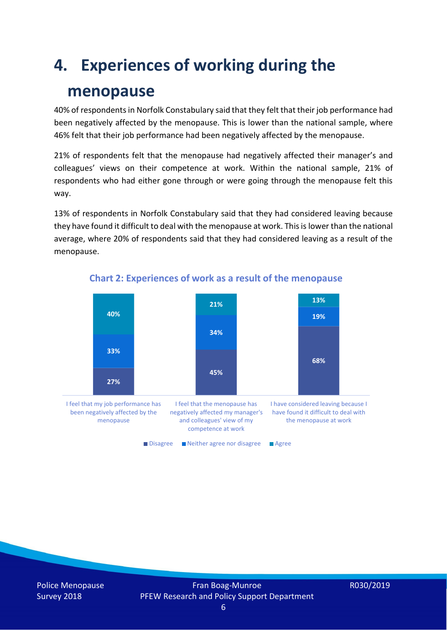## **4. Experiences of working during the**

### **menopause**

40% of respondents in Norfolk Constabulary said that they felt that their job performance had been negatively affected by the menopause. This is lower than the national sample, where 46% felt that their job performance had been negatively affected by the menopause.

21% of respondents felt that the menopause had negatively affected their manager's and colleagues' views on their competence at work. Within the national sample, 21% of respondents who had either gone through or were going through the menopause felt this way.

13% of respondents in Norfolk Constabulary said that they had considered leaving because they have found it difficult to deal with the menopause at work. This is lower than the national average, where 20% of respondents said that they had considered leaving as a result of the menopause.



#### **Chart 2: Experiences of work as a result of the menopause**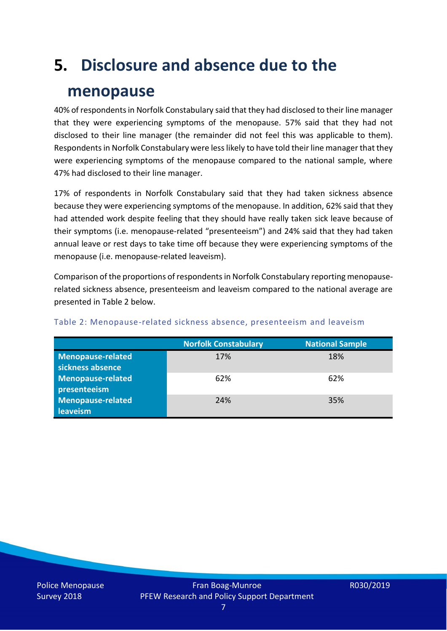### **5. Disclosure and absence due to the**

### **menopause**

40% of respondents in Norfolk Constabulary said that they had disclosed to their line manager that they were experiencing symptoms of the menopause. 57% said that they had not disclosed to their line manager (the remainder did not feel this was applicable to them). Respondents in Norfolk Constabulary were lesslikely to have told their line manager that they were experiencing symptoms of the menopause compared to the national sample, where 47% had disclosed to their line manager.

17% of respondents in Norfolk Constabulary said that they had taken sickness absence because they were experiencing symptoms of the menopause. In addition, 62% said that they had attended work despite feeling that they should have really taken sick leave because of their symptoms (i.e. menopause-related "presenteeism") and 24% said that they had taken annual leave or rest days to take time off because they were experiencing symptoms of the menopause (i.e. menopause-related leaveism).

Comparison of the proportions of respondents in Norfolk Constabulary reporting menopauserelated sickness absence, presenteeism and leaveism compared to the national average are presented in Table 2 below.

|                          | <b>Norfolk Constabulary</b> | <b>National Sample</b> |
|--------------------------|-----------------------------|------------------------|
| <b>Menopause-related</b> | 17%                         | 18%                    |
| sickness absence         |                             |                        |
| <b>Menopause-related</b> | 62%                         | 62%                    |
| presenteeism             |                             |                        |
| Menopause-related        | 24%                         | 35%                    |
| leaveism                 |                             |                        |

#### Table 2: Menopause-related sickness absence, presenteeism and leaveism